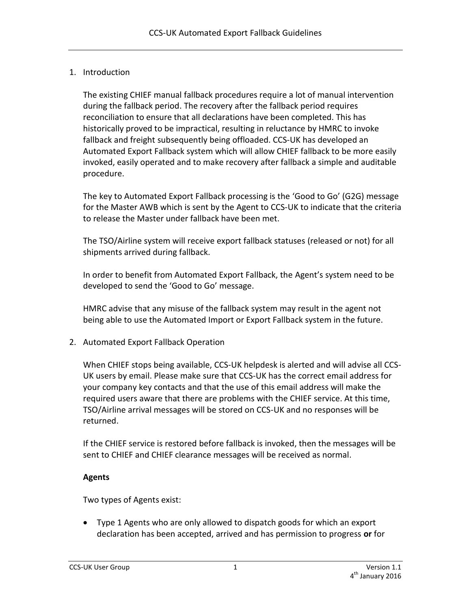## 1. Introduction

The existing CHIEF manual fallback procedures require a lot of manual intervention during the fallback period. The recovery after the fallback period requires reconciliation to ensure that all declarations have been completed. This has historically proved to be impractical, resulting in reluctance by HMRC to invoke fallback and freight subsequently being offloaded. CCS-UK has developed an Automated Export Fallback system which will allow CHIEF fallback to be more easily invoked, easily operated and to make recovery after fallback a simple and auditable procedure.

The key to Automated Export Fallback processing is the 'Good to Go' (G2G) message for the Master AWB which is sent by the Agent to CCS-UK to indicate that the criteria to release the Master under fallback have been met.

The TSO/Airline system will receive export fallback statuses (released or not) for all shipments arrived during fallback.

In order to benefit from Automated Export Fallback, the Agent's system need to be developed to send the 'Good to Go' message.

HMRC advise that any misuse of the fallback system may result in the agent not being able to use the Automated Import or Export Fallback system in the future.

2. Automated Export Fallback Operation

When CHIEF stops being available, CCS-UK helpdesk is alerted and will advise all CCS-UK users by email. Please make sure that CCS-UK has the correct email address for your company key contacts and that the use of this email address will make the required users aware that there are problems with the CHIEF service. At this time, TSO/Airline arrival messages will be stored on CCS-UK and no responses will be returned.

If the CHIEF service is restored before fallback is invoked, then the messages will be sent to CHIEF and CHIEF clearance messages will be received as normal.

## **Agents**

Two types of Agents exist:

 Type 1 Agents who are only allowed to dispatch goods for which an export declaration has been accepted, arrived and has permission to progress **or** for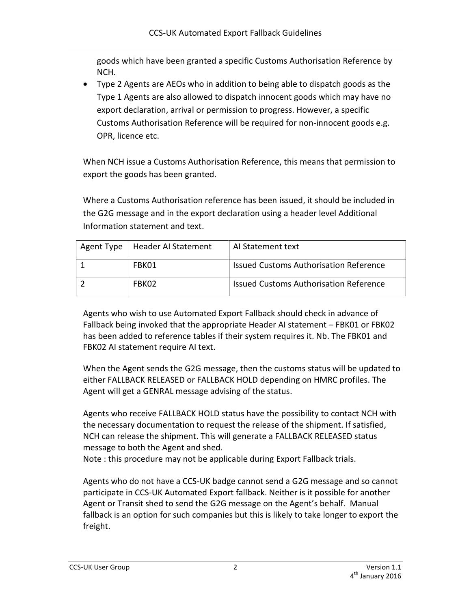goods which have been granted a specific Customs Authorisation Reference by NCH.

 Type 2 Agents are AEOs who in addition to being able to dispatch goods as the Type 1 Agents are also allowed to dispatch innocent goods which may have no export declaration, arrival or permission to progress. However, a specific Customs Authorisation Reference will be required for non-innocent goods e.g. OPR, licence etc.

When NCH issue a Customs Authorisation Reference, this means that permission to export the goods has been granted.

Where a Customs Authorisation reference has been issued, it should be included in the G2G message and in the export declaration using a header level Additional Information statement and text.

| Agent Type   Header Al Statement | Al Statement text                             |
|----------------------------------|-----------------------------------------------|
| FBK01                            | <b>Issued Customs Authorisation Reference</b> |
| FBK02                            | Issued Customs Authorisation Reference        |

Agents who wish to use Automated Export Fallback should check in advance of Fallback being invoked that the appropriate Header AI statement – FBK01 or FBK02 has been added to reference tables if their system requires it. Nb. The FBK01 and FBK02 AI statement require AI text.

When the Agent sends the G2G message, then the customs status will be updated to either FALLBACK RELEASED or FALLBACK HOLD depending on HMRC profiles. The Agent will get a GENRAL message advising of the status.

Agents who receive FALLBACK HOLD status have the possibility to contact NCH with the necessary documentation to request the release of the shipment. If satisfied, NCH can release the shipment. This will generate a FALLBACK RELEASED status message to both the Agent and shed.

Note : this procedure may not be applicable during Export Fallback trials.

Agents who do not have a CCS-UK badge cannot send a G2G message and so cannot participate in CCS-UK Automated Export fallback. Neither is it possible for another Agent or Transit shed to send the G2G message on the Agent's behalf. Manual fallback is an option for such companies but this is likely to take longer to export the freight.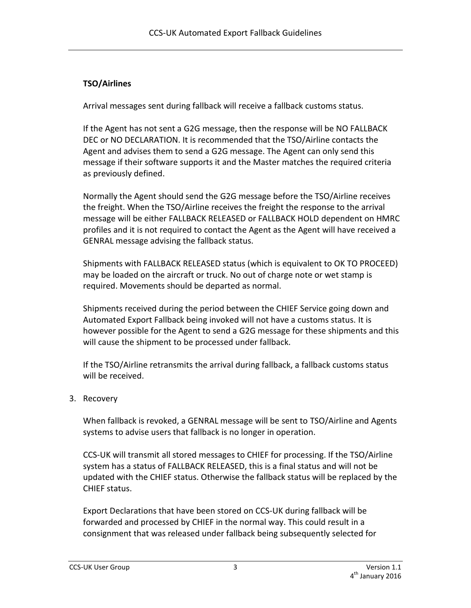## **TSO/Airlines**

Arrival messages sent during fallback will receive a fallback customs status.

If the Agent has not sent a G2G message, then the response will be NO FALLBACK DEC or NO DECLARATION. It is recommended that the TSO/Airline contacts the Agent and advises them to send a G2G message. The Agent can only send this message if their software supports it and the Master matches the required criteria as previously defined.

Normally the Agent should send the G2G message before the TSO/Airline receives the freight. When the TSO/Airline receives the freight the response to the arrival message will be either FALLBACK RELEASED or FALLBACK HOLD dependent on HMRC profiles and it is not required to contact the Agent as the Agent will have received a GENRAL message advising the fallback status.

Shipments with FALLBACK RELEASED status (which is equivalent to OK TO PROCEED) may be loaded on the aircraft or truck. No out of charge note or wet stamp is required. Movements should be departed as normal.

Shipments received during the period between the CHIEF Service going down and Automated Export Fallback being invoked will not have a customs status. It is however possible for the Agent to send a G2G message for these shipments and this will cause the shipment to be processed under fallback.

If the TSO/Airline retransmits the arrival during fallback, a fallback customs status will be received.

## 3. Recovery

When fallback is revoked, a GENRAL message will be sent to TSO/Airline and Agents systems to advise users that fallback is no longer in operation.

CCS-UK will transmit all stored messages to CHIEF for processing. If the TSO/Airline system has a status of FALLBACK RELEASED, this is a final status and will not be updated with the CHIEF status. Otherwise the fallback status will be replaced by the CHIEF status.

Export Declarations that have been stored on CCS-UK during fallback will be forwarded and processed by CHIEF in the normal way. This could result in a consignment that was released under fallback being subsequently selected for